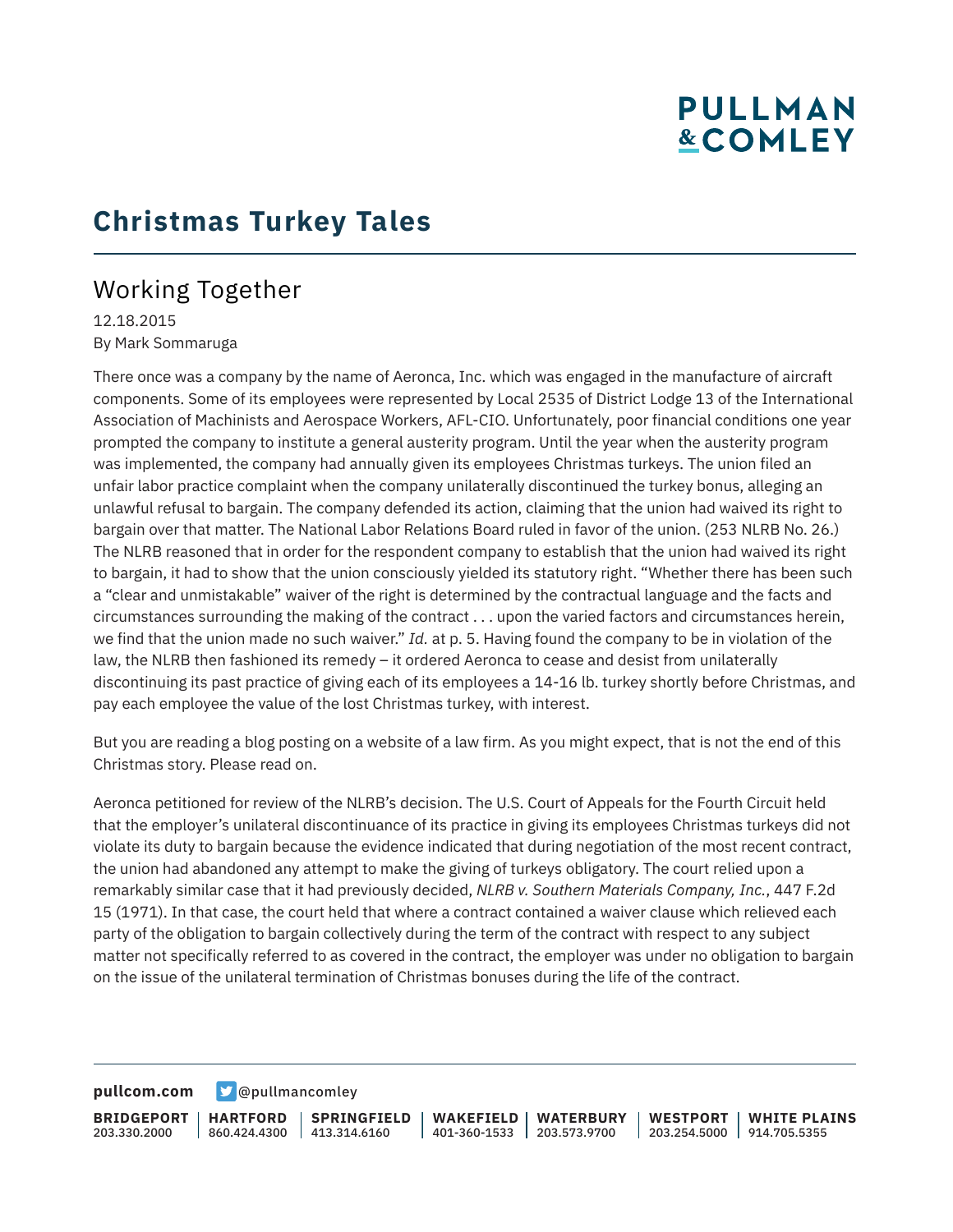## **PULLMAN &COMLEY**

### **Christmas Turkey Tales**

### Working Together

12.18.2015 By Mark Sommaruga

There once was a company by the name of Aeronca, Inc. which was engaged in the manufacture of aircraft components. Some of its employees were represented by Local 2535 of District Lodge 13 of the International Association of Machinists and Aerospace Workers, AFL-CIO. Unfortunately, poor financial conditions one year prompted the company to institute a general austerity program. Until the year when the austerity program was implemented, the company had annually given its employees Christmas turkeys. The union filed an unfair labor practice complaint when the company unilaterally discontinued the turkey bonus, alleging an unlawful refusal to bargain. The company defended its action, claiming that the union had waived its right to bargain over that matter. The National Labor Relations Board ruled in favor of the union. (253 NLRB No. 26.) The NLRB reasoned that in order for the respondent company to establish that the union had waived its right to bargain, it had to show that the union consciously yielded its statutory right. "Whether there has been such a "clear and unmistakable" waiver of the right is determined by the contractual language and the facts and circumstances surrounding the making of the contract . . . upon the varied factors and circumstances herein, we find that the union made no such waiver." *Id.* at p. 5. Having found the company to be in violation of the law, the NLRB then fashioned its remedy – it ordered Aeronca to cease and desist from unilaterally discontinuing its past practice of giving each of its employees a 14-16 lb. turkey shortly before Christmas, and pay each employee the value of the lost Christmas turkey, with interest.

But you are reading a blog posting on a website of a law firm. As you might expect, that is not the end of this Christmas story. Please read on.

Aeronca petitioned for review of the NLRB's decision. The U.S. Court of Appeals for the Fourth Circuit held that the employer's unilateral discontinuance of its practice in giving its employees Christmas turkeys did not violate its duty to bargain because the evidence indicated that during negotiation of the most recent contract, the union had abandoned any attempt to make the giving of turkeys obligatory. The court relied upon a remarkably similar case that it had previously decided, *NLRB v. Southern Materials Company, Inc.*, 447 F.2d 15 (1971). In that case, the court held that where a contract contained a waiver clause which relieved each party of the obligation to bargain collectively during the term of the contract with respect to any subject matter not specifically referred to as covered in the contract, the employer was under no obligation to bargain on the issue of the unilateral termination of Christmas bonuses during the life of the contract.

**[pullcom.com](https://www.pullcom.com) g** [@pullmancomley](https://twitter.com/PullmanComley)

**BRIDGEPORT** 203.330.2000 **HARTFORD** 860.424.4300 413.314.6160 **SPRINGFIELD WAKEFIELD WATERBURY** 401-360-1533 203.573.9700 **WESTPORT WHITE PLAINS** 203.254.5000 914.705.5355